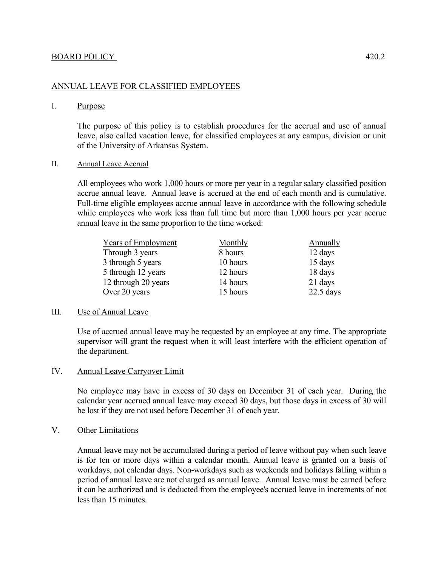#### ANNUAL LEAVE FOR CLASSIFIED EMPLOYEES

#### I. Purpose

The purpose of this policy is to establish procedures for the accrual and use of annual leave, also called vacation leave, for classified employees at any campus, division or unit of the University of Arkansas System.

#### II. Annual Leave Accrual

All employees who work 1,000 hours or more per year in a regular salary classified position accrue annual leave. Annual leave is accrued at the end of each month and is cumulative. Full-time eligible employees accrue annual leave in accordance with the following schedule while employees who work less than full time but more than 1,000 hours per year accrue annual leave in the same proportion to the time worked:

| <b>Years of Employment</b> | <b>Monthly</b> | <b>Annually</b> |
|----------------------------|----------------|-----------------|
| Through 3 years            | 8 hours        | 12 days         |
| 3 through 5 years          | 10 hours       | 15 days         |
| 5 through 12 years         | 12 hours       | 18 days         |
| 12 through 20 years        | 14 hours       | 21 days         |
| Over 20 years              | 15 hours       | $22.5$ days     |

# III. Use of Annual Leave

Use of accrued annual leave may be requested by an employee at any time. The appropriate supervisor will grant the request when it will least interfere with the efficient operation of the department.

# IV. Annual Leave Carryover Limit

 No employee may have in excess of 30 days on December 31 of each year. During the calendar year accrued annual leave may exceed 30 days, but those days in excess of 30 will be lost if they are not used before December 31 of each year.

# V. Other Limitations

Annual leave may not be accumulated during a period of leave without pay when such leave is for ten or more days within a calendar month. Annual leave is granted on a basis of workdays, not calendar days. Non-workdays such as weekends and holidays falling within a period of annual leave are not charged as annual leave. Annual leave must be earned before it can be authorized and is deducted from the employee's accrued leave in increments of not less than 15 minutes.